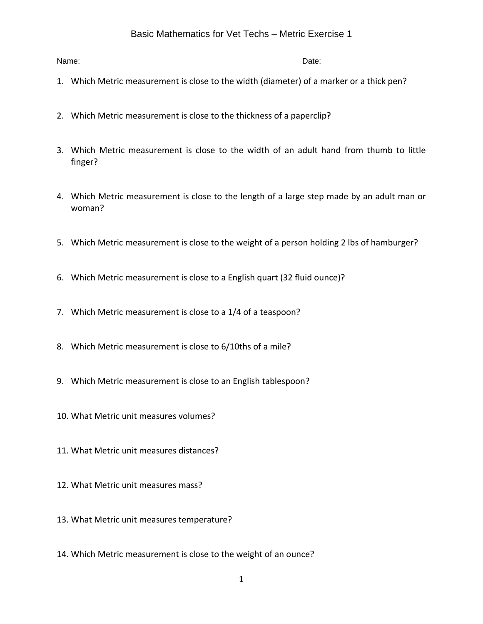## Basic Mathematics for Vet Techs – Metric Exercise 1

Name: Date:

- 1. Which Metric measurement is close to the width (diameter) of a marker or a thick pen?
- 2. Which Metric measurement is close to the thickness of a paperclip?
- 3. Which Metric measurement is close to the width of an adult hand from thumb to little finger?
- 4. Which Metric measurement is close to the length of a large step made by an adult man or woman?
- 5. Which Metric measurement is close to the weight of a person holding 2 lbs of hamburger?
- 6. Which Metric measurement is close to a English quart (32 fluid ounce)?
- 7. Which Metric measurement is close to a 1/4 of a teaspoon?
- 8. Which Metric measurement is close to 6/10ths of a mile?
- 9. Which Metric measurement is close to an English tablespoon?
- 10. What Metric unit measures volumes?
- 11. What Metric unit measures distances?
- 12. What Metric unit measures mass?
- 13. What Metric unit measures temperature?
- 14. Which Metric measurement is close to the weight of an ounce?